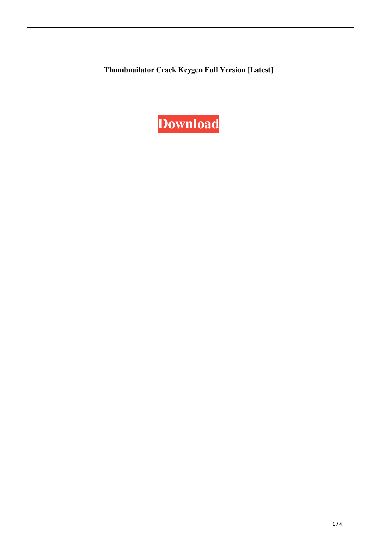**Thumbnailator Crack Keygen Full Version [Latest]**

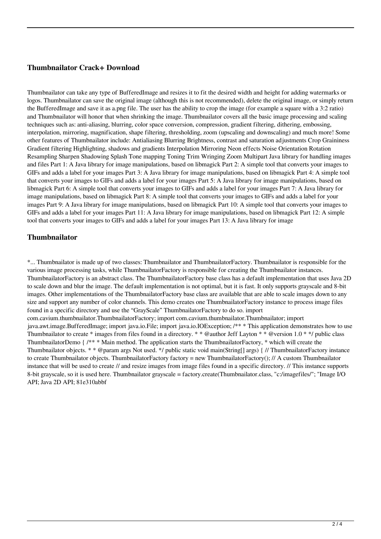## **Thumbnailator Crack+ Download**

Thumbnailator can take any type of BufferedImage and resizes it to fit the desired width and height for adding watermarks or logos. Thumbnailator can save the original image (although this is not recommended), delete the original image, or simply return the BufferedImage and save it as a.png file. The user has the ability to crop the image (for example a square with a 3:2 ratio) and Thumbnailator will honor that when shrinking the image. Thumbnailator covers all the basic image processing and scaling techniques such as: anti-aliasing, blurring, color space conversion, compression, gradient filtering, dithering, embossing, interpolation, mirroring, magnification, shape filtering, thresholding, zoom (upscaling and downscaling) and much more! Some other features of Thumbnailator include: Antialiasing Blurring Brightness, contrast and saturation adjustments Crop Graininess Gradient filtering Highlighting, shadows and gradients Interpolation Mirroring Neon effects Noise Orientation Rotation Resampling Sharpen Shadowing Splash Tone mapping Toning Trim Wringing Zoom Multipart Java library for handling images and files Part 1: A Java library for image manipulations, based on libmagick Part 2: A simple tool that converts your images to GIFs and adds a label for your images Part 3: A Java library for image manipulations, based on libmagick Part 4: A simple tool that converts your images to GIFs and adds a label for your images Part 5: A Java library for image manipulations, based on libmagick Part 6: A simple tool that converts your images to GIFs and adds a label for your images Part 7: A Java library for image manipulations, based on libmagick Part 8: A simple tool that converts your images to GIFs and adds a label for your images Part 9: A Java library for image manipulations, based on libmagick Part 10: A simple tool that converts your images to GIFs and adds a label for your images Part 11: A Java library for image manipulations, based on libmagick Part 12: A simple tool that converts your images to GIFs and adds a label for your images Part 13: A Java library for image

#### **Thumbnailator**

\*... Thumbnailator is made up of two classes: Thumbnailator and ThumbnailatorFactory. Thumbnailator is responsible for the various image processing tasks, while ThumbnailatorFactory is responsible for creating the Thumbnailator instances. ThumbnailatorFactory is an abstract class. The ThumbnailatorFactory base class has a default implementation that uses Java 2D to scale down and blur the image. The default implementation is not optimal, but it is fast. It only supports grayscale and 8-bit images. Other implementations of the ThumbnailatorFactory base class are available that are able to scale images down to any size and support any number of color channels. This demo creates one ThumbnailatorFactory instance to process image files found in a specific directory and use the "GrayScale" ThumbnailatorFactory to do so. import com.cavium.thumbnailator.ThumbnailatorFactory; import com.cavium.thumbnailator.Thumbnailator; import java.awt.image.BufferedImage; import java.io.File; import java.io.IOException; /\*\* \* This application demonstrates how to use Thumbnailator to create  $*$  images from files found in a directory.  $* * @$ author Jeff Layton  $* * @$ version 1.0  $* *$ / public class ThumbnailatorDemo { /\*\* \* Main method. The application starts the ThumbnailatorFactory, \* which will create the Thumbnailator objects. \* \* @param args Not used. \*/ public static void main(String[] args) { // ThumbnailatorFactory instance to create Thumbnailator objects. ThumbnailatorFactory factory = new ThumbnailatorFactory(); // A custom Thumbnailator instance that will be used to create // and resize images from image files found in a specific directory. // This instance supports 8-bit grayscale, so it is used here. Thumbnailator grayscale = factory.create(Thumbnailator.class, "c:/imagefiles/"; "Image I/O API; Java 2D API; 81e310abbf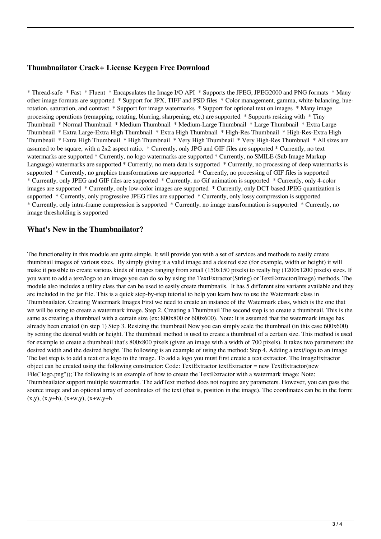## **Thumbnailator Crack+ License Keygen Free Download**

\* Thread-safe \* Fast \* Fluent \* Encapsulates the Image I/O API \* Supports the JPEG, JPEG2000 and PNG formats \* Many other image formats are supported \* Support for JPX, TIFF and PSD files \* Color management, gamma, white-balancing, huerotation, saturation, and contrast \* Support for image watermarks \* Support for optional text on images \* Many image processing operations (remapping, rotating, blurring, sharpening, etc.) are supported \* Supports resizing with \* Tiny Thumbnail \* Normal Thumbnail \* Medium Thumbnail \* Medium-Large Thumbnail \* Large Thumbnail \* Extra Large Thumbnail \* Extra Large-Extra High Thumbnail \* Extra High Thumbnail \* High-Res Thumbnail \* High-Res-Extra High Thumbnail \* Extra High Thumbnail \* High Thumbnail \* Very High Thumbnail \* Very High-Res Thumbnail \* All sizes are assumed to be square, with a 2x2 aspect ratio. \* Currently, only JPG and GIF files are supported \* Currently, no text watermarks are supported \* Currently, no logo watermarks are supported \* Currently, no SMILE (Sub Image Markup Language) watermarks are supported \* Currently, no meta data is supported \* Currently, no processing of deep watermarks is supported \* Currently, no graphics transformations are supported \* Currently, no processing of GIF files is supported \* Currently, only JPEG and GIF files are supported \* Currently, no Gif animation is supported \* Currently, only 4-color images are supported \* Currently, only low-color images are supported \* Currently, only DCT based JPEG quantization is supported \* Currently, only progressive JPEG files are supported \* Currently, only lossy compression is supported \* Currently, only intra-frame compression is supported \* Currently, no image transformation is supported \* Currently, no image thresholding is supported

#### **What's New in the Thumbnailator?**

The functionality in this module are quite simple. It will provide you with a set of services and methods to easily create thumbnail images of various sizes. By simply giving it a valid image and a desired size (for example, width or height) it will make it possible to create various kinds of images ranging from small (150x150 pixels) to really big (1200x1200 pixels) sizes. If you want to add a text/logo to an image you can do so by using the TextExtractor(String) or TextExtractor(Image) methods. The module also includes a utility class that can be used to easily create thumbnails. It has 5 different size variants available and they are included in the jar file. This is a quick step-by-step tutorial to help you learn how to use the Watermark class in Thumbnailator. Creating Watermark Images First we need to create an instance of the Watermark class, which is the one that we will be using to create a watermark image. Step 2. Creating a Thumbnail The second step is to create a thumbnail. This is the same as creating a thumbnail with a certain size (ex: 800x800 or 600x600). Note: It is assumed that the watermark image has already been created (in step 1) Step 3. Resizing the thumbnail Now you can simply scale the thumbnail (in this case 600x600) by setting the desired width or height. The thumbnail method is used to create a thumbnail of a certain size. This method is used for example to create a thumbnail that's 800x800 pixels (given an image with a width of 700 pixels). It takes two parameters: the desired width and the desired height. The following is an example of using the method: Step 4. Adding a text/logo to an image The last step is to add a text or a logo to the image. To add a logo you must first create a text extractor. The ImageExtractor object can be created using the following constructor: Code: TextExtractor textExtractor = new TextExtractor(new File("logo.png")); The following is an example of how to create the TextExtractor with a watermark image: Note: Thumbnailator support multiple watermarks. The addText method does not require any parameters. However, you can pass the source image and an optional array of coordinates of the text (that is, position in the image). The coordinates can be in the form:  $(x,y)$ ,  $(x,y+h)$ ,  $(x+w,y)$ ,  $(x+w,y+h)$